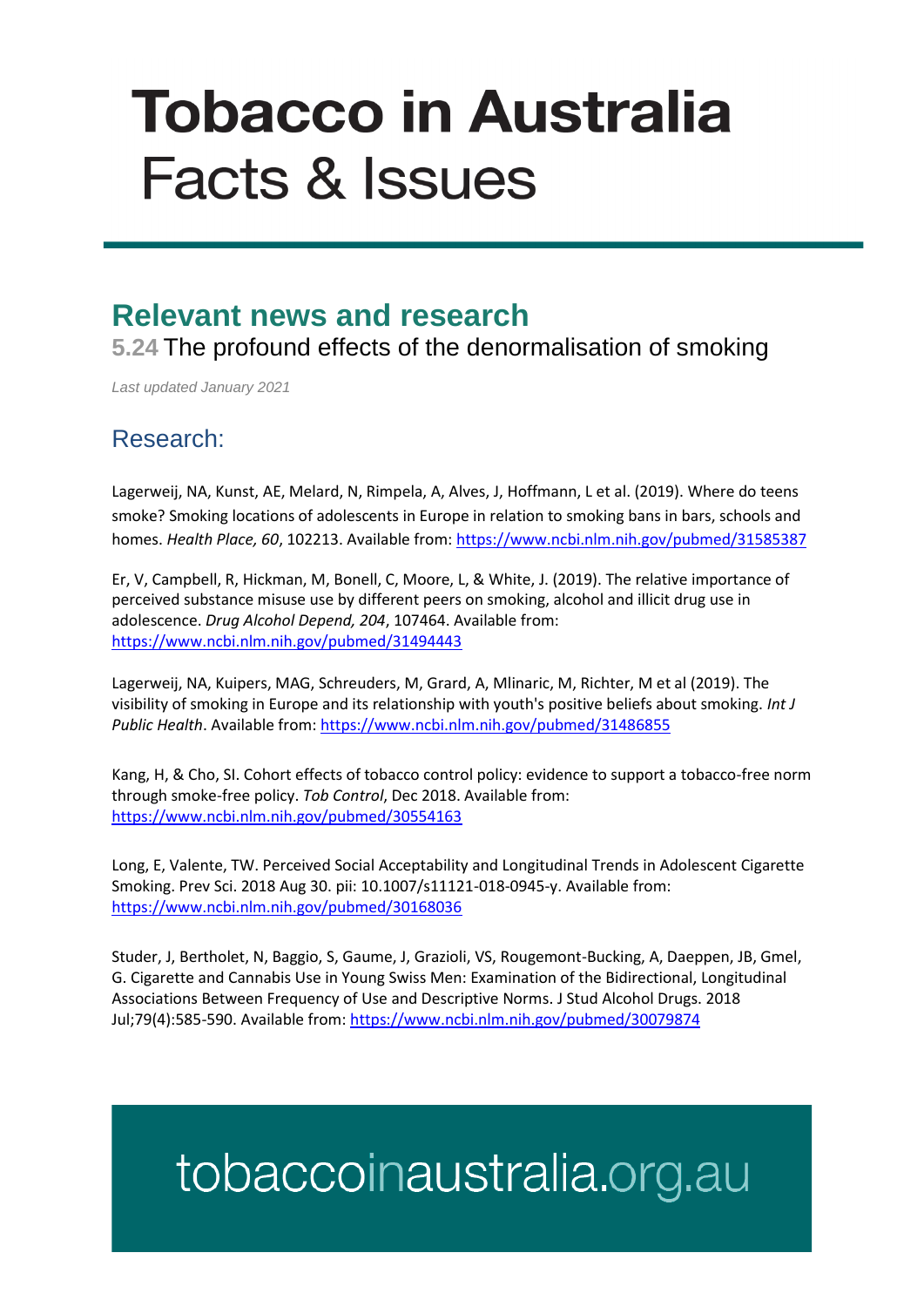# **Tobacco in Australia Facts & Issues**

### **Relevant news and research**

**5.24** The profound effects of the denormalisation of smoking

*Last updated January 2021*

#### Research:

Lagerweij, NA, Kunst, AE, Melard, N, Rimpela, A, Alves, J, Hoffmann, L et al. (2019). Where do teens smoke? Smoking locations of adolescents in Europe in relation to smoking bans in bars, schools and homes. *Health Place, 60*, 102213. Available from:<https://www.ncbi.nlm.nih.gov/pubmed/31585387>

Er, V, Campbell, R, Hickman, M, Bonell, C, Moore, L, & White, J. (2019). The relative importance of perceived substance misuse use by different peers on smoking, alcohol and illicit drug use in adolescence. *Drug Alcohol Depend, 204*, 107464. Available from: <https://www.ncbi.nlm.nih.gov/pubmed/31494443>

Lagerweij, NA, Kuipers, MAG, Schreuders, M, Grard, A, Mlinaric, M, Richter, M et al (2019). The visibility of smoking in Europe and its relationship with youth's positive beliefs about smoking. *Int J Public Health*. Available from[: https://www.ncbi.nlm.nih.gov/pubmed/31486855](https://www.ncbi.nlm.nih.gov/pubmed/31486855)

Kang, H, & Cho, SI. Cohort effects of tobacco control policy: evidence to support a tobacco-free norm through smoke-free policy. *Tob Control*, Dec 2018. Available from: <https://www.ncbi.nlm.nih.gov/pubmed/30554163>

Long, E, Valente, TW. Perceived Social Acceptability and Longitudinal Trends in Adolescent Cigarette Smoking. Prev Sci. 2018 Aug 30. pii: 10.1007/s11121-018-0945-y. Available from: <https://www.ncbi.nlm.nih.gov/pubmed/30168036>

Studer, J, Bertholet, N, Baggio, S, Gaume, J, Grazioli, VS, Rougemont-Bucking, A, Daeppen, JB, Gmel, G. Cigarette and Cannabis Use in Young Swiss Men: Examination of the Bidirectional, Longitudinal Associations Between Frequency of Use and Descriptive Norms. J Stud Alcohol Drugs. 2018 Jul;79(4):585-590. Available from[: https://www.ncbi.nlm.nih.gov/pubmed/30079874](https://www.ncbi.nlm.nih.gov/pubmed/30079874)

## tobaccoinaustralia.org.au